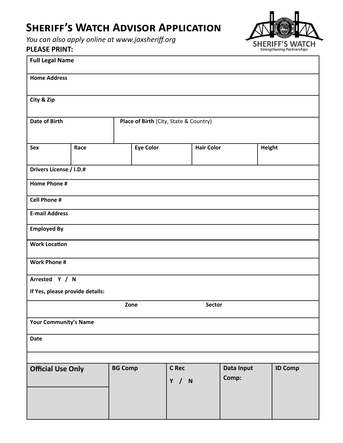## **SHERIFF'S WATCH ADVISOR APPLICATION**

*[You can also apply online at www.jaxsheriff.org](http://www.jaxsheriff.org/departments/sheriffs-office/bizforms/sheriffs-watch-application)* 

## **PLEASE PRINT:**

| <b>SHERIFF'S WATCH</b><br><b>Strengthening Partnerships</b> |  |
|-------------------------------------------------------------|--|

| <b>Full Legal Name</b>          |                                        |                                |                     |                |  |  |
|---------------------------------|----------------------------------------|--------------------------------|---------------------|----------------|--|--|
| <b>Home Address</b>             |                                        |                                |                     |                |  |  |
| City & Zip                      |                                        |                                |                     |                |  |  |
| <b>Date of Birth</b>            | Place of Birth (City, State & Country) |                                |                     |                |  |  |
| Sex<br>Race                     | <b>Eye Color</b>                       | <b>Hair Color</b>              | <b>Height</b>       |                |  |  |
| Drivers License / I.D.#         |                                        |                                |                     |                |  |  |
| Home Phone #                    |                                        |                                |                     |                |  |  |
| <b>Cell Phone #</b>             |                                        |                                |                     |                |  |  |
| <b>E-mail Address</b>           |                                        |                                |                     |                |  |  |
| <b>Employed By</b>              |                                        |                                |                     |                |  |  |
| <b>Work Location</b>            |                                        |                                |                     |                |  |  |
| <b>Work Phone #</b>             |                                        |                                |                     |                |  |  |
| Arrested Y / N                  |                                        |                                |                     |                |  |  |
| If Yes, please provide details: |                                        |                                |                     |                |  |  |
| Zone<br>Sector                  |                                        |                                |                     |                |  |  |
| <b>Your Community's Name</b>    |                                        |                                |                     |                |  |  |
| Date                            |                                        |                                |                     |                |  |  |
|                                 |                                        |                                |                     |                |  |  |
| <b>Official Use Only</b>        | <b>BG Comp</b>                         | C Rec<br>Y /<br>$\blacksquare$ | Data Input<br>Comp: | <b>ID Comp</b> |  |  |
|                                 |                                        |                                |                     |                |  |  |
|                                 |                                        |                                |                     |                |  |  |